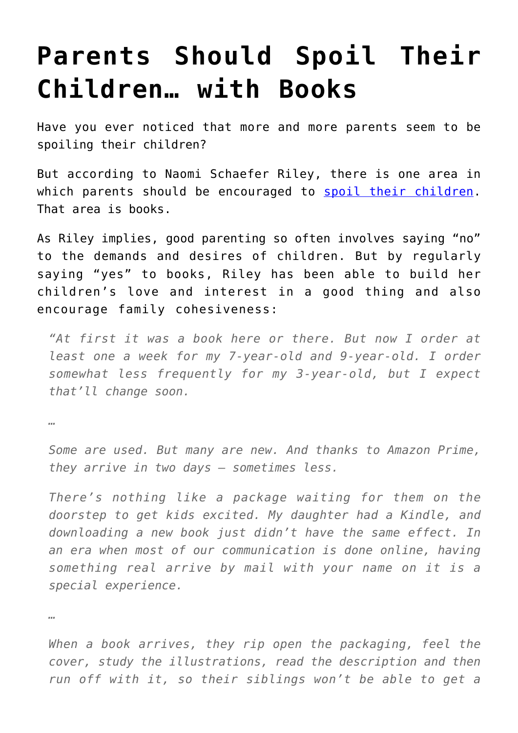## **[Parents Should Spoil Their](https://intellectualtakeout.org/2016/04/parents-should-spoil-their-children-with-books/) [Children… with Books](https://intellectualtakeout.org/2016/04/parents-should-spoil-their-children-with-books/)**

Have you ever noticed that more and more parents seem to be spoiling their children?

But according to Naomi Schaefer Riley, there is one area in which parents should be encouraged to [spoil their children.](http://nypost.com/2016/04/05/the-right-way-to-spoil-your-kids/) That area is books.

As Riley implies, good parenting so often involves saying "no" to the demands and desires of children. But by regularly saying "yes" to books, Riley has been able to build her children's love and interest in a good thing and also encourage family cohesiveness:

*"At first it was a book here or there. But now I order at least one a week for my 7-year-old and 9-year-old. I order somewhat less frequently for my 3-year-old, but I expect that'll change soon.* 

*…*

*Some are used. But many are new. And thanks to Amazon Prime, they arrive in two days — sometimes less.*

*There's nothing like a package waiting for them on the doorstep to get kids excited. My daughter had a Kindle, and downloading a new book just didn't have the same effect. In an era when most of our communication is done online, having something real arrive by mail with your name on it is a special experience.*

*…*

*When a book arrives, they rip open the packaging, feel the cover, study the illustrations, read the description and then run off with it, so their siblings won't be able to get a*